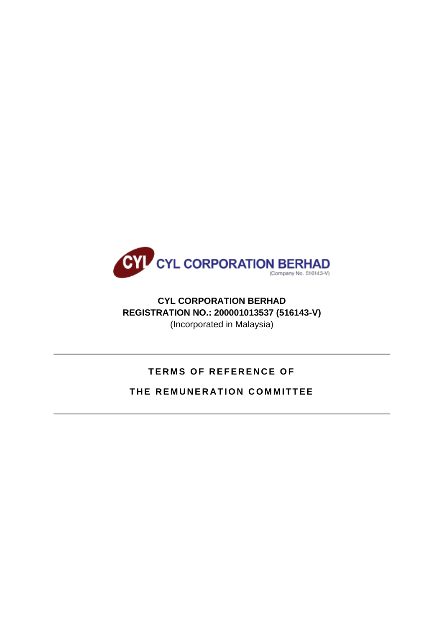

# **CYL CORPORATION BERHAD REGISTRATION NO.: 200001013537 (516143-V)** (Incorporated in Malaysia)

# **TERMS OF REFERENCE OF**

# **THE REMUNERATION COMMITTEE**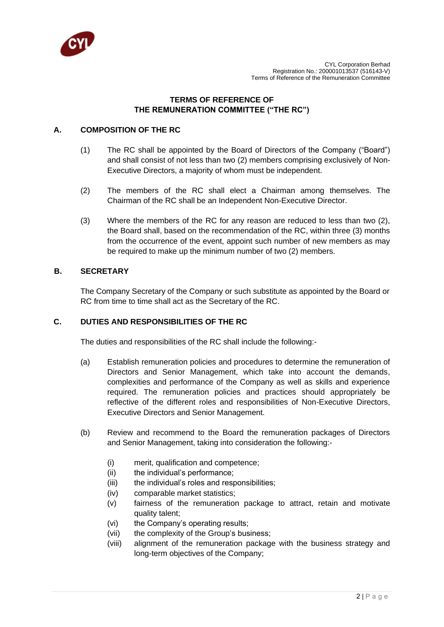

# **TERMS OF REFERENCE OF THE REMUNERATION COMMITTEE ("THE RC")**

# **A. COMPOSITION OF THE RC**

- (1) The RC shall be appointed by the Board of Directors of the Company ("Board") and shall consist of not less than two (2) members comprising exclusively of Non-Executive Directors, a majority of whom must be independent.
- (2) The members of the RC shall elect a Chairman among themselves. The Chairman of the RC shall be an Independent Non-Executive Director.
- (3) Where the members of the RC for any reason are reduced to less than two (2), the Board shall, based on the recommendation of the RC, within three (3) months from the occurrence of the event, appoint such number of new members as may be required to make up the minimum number of two (2) members.

# **B. SECRETARY**

The Company Secretary of the Company or such substitute as appointed by the Board or RC from time to time shall act as the Secretary of the RC.

# **C. DUTIES AND RESPONSIBILITIES OF THE RC**

The duties and responsibilities of the RC shall include the following:-

- (a) Establish remuneration policies and procedures to determine the remuneration of Directors and Senior Management, which take into account the demands, complexities and performance of the Company as well as skills and experience required. The remuneration policies and practices should appropriately be reflective of the different roles and responsibilities of Non-Executive Directors, Executive Directors and Senior Management.
- (b) Review and recommend to the Board the remuneration packages of Directors and Senior Management, taking into consideration the following:-
	- (i) merit, qualification and competence;
	- (ii) the individual's performance;
	- (iii) the individual's roles and responsibilities;
	- (iv) comparable market statistics;
	- (v) fairness of the remuneration package to attract, retain and motivate quality talent;
	- (vi) the Company's operating results;
	- (vii) the complexity of the Group's business;
	- (viii) alignment of the remuneration package with the business strategy and long-term objectives of the Company;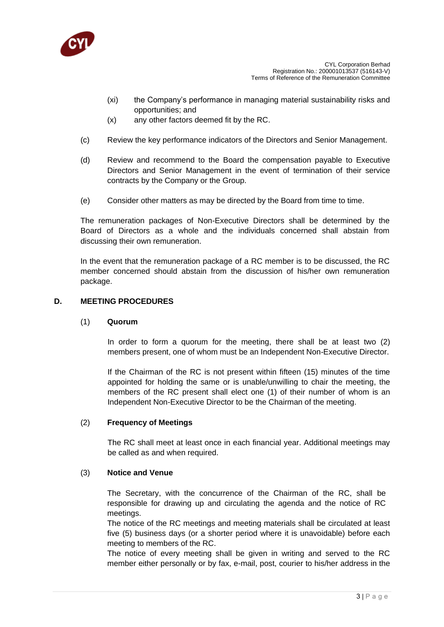

- (xi) the Company's performance in managing material sustainability risks and opportunities; and
- (x) any other factors deemed fit by the RC.
- (c) Review the key performance indicators of the Directors and Senior Management.
- (d) Review and recommend to the Board the compensation payable to Executive Directors and Senior Management in the event of termination of their service contracts by the Company or the Group.
- (e) Consider other matters as may be directed by the Board from time to time.

The remuneration packages of Non-Executive Directors shall be determined by the Board of Directors as a whole and the individuals concerned shall abstain from discussing their own remuneration.

In the event that the remuneration package of a RC member is to be discussed, the RC member concerned should abstain from the discussion of his/her own remuneration package.

#### **D. MEETING PROCEDURES**

#### (1) **Quorum**

In order to form a quorum for the meeting, there shall be at least two (2) members present, one of whom must be an Independent Non-Executive Director.

If the Chairman of the RC is not present within fifteen (15) minutes of the time appointed for holding the same or is unable/unwilling to chair the meeting, the members of the RC present shall elect one (1) of their number of whom is an Independent Non-Executive Director to be the Chairman of the meeting.

#### (2) **Frequency of Meetings**

The RC shall meet at least once in each financial year. Additional meetings may be called as and when required.

#### (3) **Notice and Venue**

The Secretary, with the concurrence of the Chairman of the RC, shall be responsible for drawing up and circulating the agenda and the notice of RC meetings.

The notice of the RC meetings and meeting materials shall be circulated at least five (5) business days (or a shorter period where it is unavoidable) before each meeting to members of the RC.

The notice of every meeting shall be given in writing and served to the RC member either personally or by fax, e-mail, post, courier to his/her address in the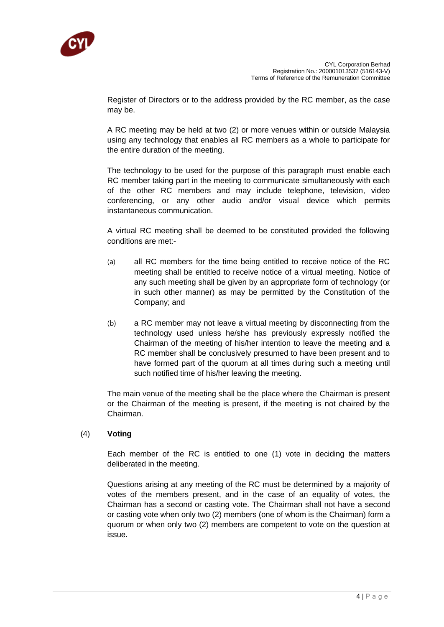

Register of Directors or to the address provided by the RC member, as the case may be.

A RC meeting may be held at two (2) or more venues within or outside Malaysia using any technology that enables all RC members as a whole to participate for the entire duration of the meeting.

The technology to be used for the purpose of this paragraph must enable each RC member taking part in the meeting to communicate simultaneously with each of the other RC members and may include telephone, television, video conferencing, or any other audio and/or visual device which permits instantaneous communication.

A virtual RC meeting shall be deemed to be constituted provided the following conditions are met:-

- (a) all RC members for the time being entitled to receive notice of the RC meeting shall be entitled to receive notice of a virtual meeting. Notice of any such meeting shall be given by an appropriate form of technology (or in such other manner) as may be permitted by the Constitution of the Company; and
- (b) a RC member may not leave a virtual meeting by disconnecting from the technology used unless he/she has previously expressly notified the Chairman of the meeting of his/her intention to leave the meeting and a RC member shall be conclusively presumed to have been present and to have formed part of the quorum at all times during such a meeting until such notified time of his/her leaving the meeting.

The main venue of the meeting shall be the place where the Chairman is present or the Chairman of the meeting is present, if the meeting is not chaired by the Chairman.

#### (4) **Voting**

Each member of the RC is entitled to one (1) vote in deciding the matters deliberated in the meeting.

Questions arising at any meeting of the RC must be determined by a majority of votes of the members present, and in the case of an equality of votes, the Chairman has a second or casting vote. The Chairman shall not have a second or casting vote when only two (2) members (one of whom is the Chairman) form a quorum or when only two (2) members are competent to vote on the question at issue.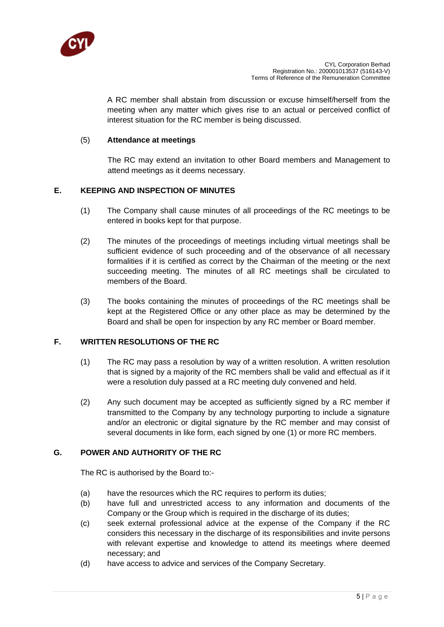

A RC member shall abstain from discussion or excuse himself/herself from the meeting when any matter which gives rise to an actual or perceived conflict of interest situation for the RC member is being discussed.

# (5) **Attendance at meetings**

The RC may extend an invitation to other Board members and Management to attend meetings as it deems necessary.

# **E. KEEPING AND INSPECTION OF MINUTES**

- (1) The Company shall cause minutes of all proceedings of the RC meetings to be entered in books kept for that purpose.
- (2) The minutes of the proceedings of meetings including virtual meetings shall be sufficient evidence of such proceeding and of the observance of all necessary formalities if it is certified as correct by the Chairman of the meeting or the next succeeding meeting. The minutes of all RC meetings shall be circulated to members of the Board.
- (3) The books containing the minutes of proceedings of the RC meetings shall be kept at the Registered Office or any other place as may be determined by the Board and shall be open for inspection by any RC member or Board member.

#### **F. WRITTEN RESOLUTIONS OF THE RC**

- (1) The RC may pass a resolution by way of a written resolution. A written resolution that is signed by a majority of the RC members shall be valid and effectual as if it were a resolution duly passed at a RC meeting duly convened and held.
- (2) Any such document may be accepted as sufficiently signed by a RC member if transmitted to the Company by any technology purporting to include a signature and/or an electronic or digital signature by the RC member and may consist of several documents in like form, each signed by one (1) or more RC members.

# **G. POWER AND AUTHORITY OF THE RC**

The RC is authorised by the Board to:-

- (a) have the resources which the RC requires to perform its duties;
- (b) have full and unrestricted access to any information and documents of the Company or the Group which is required in the discharge of its duties;
- (c) seek external professional advice at the expense of the Company if the RC considers this necessary in the discharge of its responsibilities and invite persons with relevant expertise and knowledge to attend its meetings where deemed necessary; and
- (d) have access to advice and services of the Company Secretary.